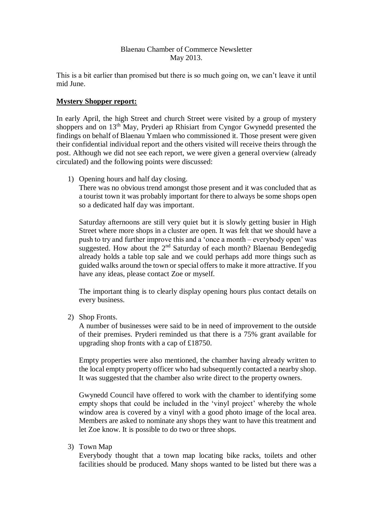## Blaenau Chamber of Commerce Newsletter May 2013.

This is a bit earlier than promised but there is so much going on, we can't leave it until mid June.

## **Mystery Shopper report:**

In early April, the high Street and church Street were visited by a group of mystery shoppers and on 13th May, Pryderi ap Rhisiart from Cyngor Gwynedd presented the findings on behalf of Blaenau Ymlaen who commissioned it. Those present were given their confidential individual report and the others visited will receive theirs through the post. Although we did not see each report, we were given a general overview (already circulated) and the following points were discussed:

1) Opening hours and half day closing.

There was no obvious trend amongst those present and it was concluded that as a tourist town it was probably important for there to always be some shops open so a dedicated half day was important.

Saturday afternoons are still very quiet but it is slowly getting busier in High Street where more shops in a cluster are open. It was felt that we should have a push to try and further improve this and a 'once a month – everybody open' was suggested. How about the  $2<sup>nd</sup>$  Saturday of each month? Blaenau Bendegedig already holds a table top sale and we could perhaps add more things such as guided walks around the town or special offers to make it more attractive. If you have any ideas, please contact Zoe or myself.

The important thing is to clearly display opening hours plus contact details on every business.

2) Shop Fronts.

A number of businesses were said to be in need of improvement to the outside of their premises. Pryderi reminded us that there is a 75% grant available for upgrading shop fronts with a cap of £18750.

Empty properties were also mentioned, the chamber having already written to the local empty property officer who had subsequently contacted a nearby shop. It was suggested that the chamber also write direct to the property owners.

Gwynedd Council have offered to work with the chamber to identifying some empty shops that could be included in the 'vinyl project' whereby the whole window area is covered by a vinyl with a good photo image of the local area. Members are asked to nominate any shops they want to have this treatment and let Zoe know. It is possible to do two or three shops.

3) Town Map

Everybody thought that a town map locating bike racks, toilets and other facilities should be produced. Many shops wanted to be listed but there was a